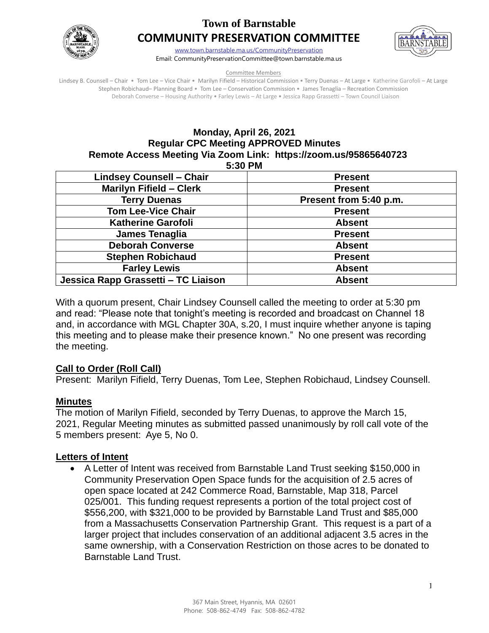

# **Town of Barnstable COMMUNITY PRESERVATION COMMITTEE**



[www.town.barnstable.ma.us/CommunityPreservation](http://www.town.barnstable.ma.us/CommunityPreservation) Email: CommunityPreservationCommittee@town.barnstable.ma.us

Committee Members

Lindsey B. Counsell – Chair • Tom Lee – Vice Chair • Marilyn Fifield – Historical Commission • Terry Duenas – At Large • Katherine Garofoli – At Large Stephen Robichaud– Planning Board • Tom Lee – Conservation Commission • James Tenaglia – Recreation Commission Deborah Converse – Housing Authority • Farley Lewis – At Large • Jessica Rapp Grassetti – Town Council Liaison

# **Monday, April 26, 2021 Regular CPC Meeting APPROVED Minutes Remote Access Meeting Via Zoom Link: https://zoom.us/95865640723**

**5:30 PM** 

| <b>Lindsey Counsell - Chair</b>     | <b>Present</b>         |
|-------------------------------------|------------------------|
| <b>Marilyn Fifield - Clerk</b>      | <b>Present</b>         |
| <b>Terry Duenas</b>                 | Present from 5:40 p.m. |
| <b>Tom Lee-Vice Chair</b>           | <b>Present</b>         |
| <b>Katherine Garofoli</b>           | <b>Absent</b>          |
| James Tenaglia                      | <b>Present</b>         |
| <b>Deborah Converse</b>             | <b>Absent</b>          |
| <b>Stephen Robichaud</b>            | <b>Present</b>         |
| <b>Farley Lewis</b>                 | <b>Absent</b>          |
| Jessica Rapp Grassetti - TC Liaison | <b>Absent</b>          |

With a quorum present, Chair Lindsey Counsell called the meeting to order at 5:30 pm and read: "Please note that tonight's meeting is recorded and broadcast on Channel 18 and, in accordance with MGL Chapter 30A, s.20, I must inquire whether anyone is taping this meeting and to please make their presence known." No one present was recording the meeting.

# **Call to Order (Roll Call)**

Present: Marilyn Fifield, Terry Duenas, Tom Lee, Stephen Robichaud, Lindsey Counsell.

### **Minutes**

The motion of Marilyn Fifield, seconded by Terry Duenas, to approve the March 15, 2021, Regular Meeting minutes as submitted passed unanimously by roll call vote of the 5 members present: Aye 5, No 0.

### **Letters of Intent**

• A Letter of Intent was received from Barnstable Land Trust seeking \$150,000 in Community Preservation Open Space funds for the acquisition of 2.5 acres of open space located at 242 Commerce Road, Barnstable, Map 318, Parcel 025/001. This funding request represents a portion of the total project cost of \$556,200, with \$321,000 to be provided by Barnstable Land Trust and \$85,000 from a Massachusetts Conservation Partnership Grant. This request is a part of a larger project that includes conservation of an additional adjacent 3.5 acres in the same ownership, with a Conservation Restriction on those acres to be donated to Barnstable Land Trust.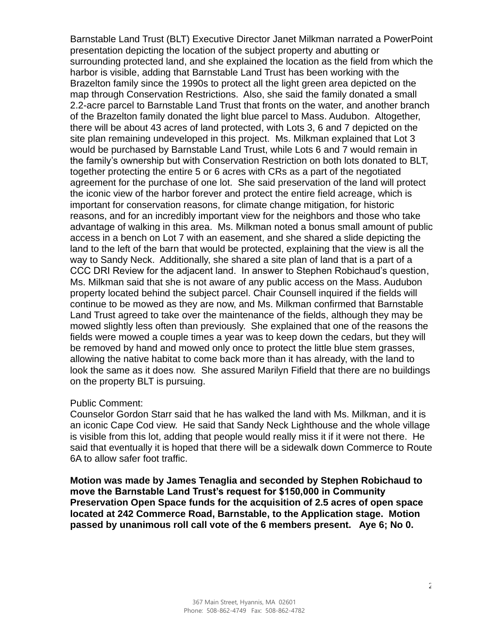Barnstable Land Trust (BLT) Executive Director Janet Milkman narrated a PowerPoint presentation depicting the location of the subject property and abutting or surrounding protected land, and she explained the location as the field from which the harbor is visible, adding that Barnstable Land Trust has been working with the Brazelton family since the 1990s to protect all the light green area depicted on the map through Conservation Restrictions. Also, she said the family donated a small 2.2-acre parcel to Barnstable Land Trust that fronts on the water, and another branch of the Brazelton family donated the light blue parcel to Mass. Audubon. Altogether, there will be about 43 acres of land protected, with Lots 3, 6 and 7 depicted on the site plan remaining undeveloped in this project. Ms. Milkman explained that Lot 3 would be purchased by Barnstable Land Trust, while Lots 6 and 7 would remain in the family's ownership but with Conservation Restriction on both lots donated to BLT, together protecting the entire 5 or 6 acres with CRs as a part of the negotiated agreement for the purchase of one lot. She said preservation of the land will protect the iconic view of the harbor forever and protect the entire field acreage, which is important for conservation reasons, for climate change mitigation, for historic reasons, and for an incredibly important view for the neighbors and those who take advantage of walking in this area. Ms. Milkman noted a bonus small amount of public access in a bench on Lot 7 with an easement, and she shared a slide depicting the land to the left of the barn that would be protected, explaining that the view is all the way to Sandy Neck. Additionally, she shared a site plan of land that is a part of a CCC DRI Review for the adjacent land. In answer to Stephen Robichaud's question, Ms. Milkman said that she is not aware of any public access on the Mass. Audubon property located behind the subject parcel. Chair Counsell inquired if the fields will continue to be mowed as they are now, and Ms. Milkman confirmed that Barnstable Land Trust agreed to take over the maintenance of the fields, although they may be mowed slightly less often than previously. She explained that one of the reasons the fields were mowed a couple times a year was to keep down the cedars, but they will be removed by hand and mowed only once to protect the little blue stem grasses, allowing the native habitat to come back more than it has already, with the land to look the same as it does now. She assured Marilyn Fifield that there are no buildings on the property BLT is pursuing.

#### Public Comment:

Counselor Gordon Starr said that he has walked the land with Ms. Milkman, and it is an iconic Cape Cod view. He said that Sandy Neck Lighthouse and the whole village is visible from this lot, adding that people would really miss it if it were not there. He said that eventually it is hoped that there will be a sidewalk down Commerce to Route 6A to allow safer foot traffic.

**Motion was made by James Tenaglia and seconded by Stephen Robichaud to move the Barnstable Land Trust's request for \$150,000 in Community Preservation Open Space funds for the acquisition of 2.5 acres of open space located at 242 Commerce Road, Barnstable, to the Application stage. Motion passed by unanimous roll call vote of the 6 members present. Aye 6; No 0.**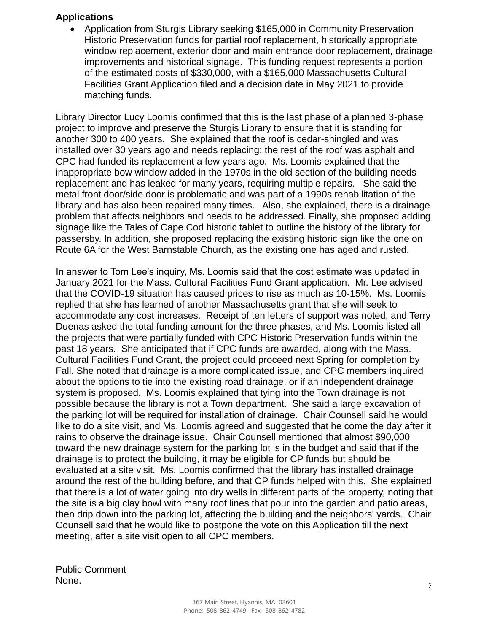#### **Applications**

• Application from Sturgis Library seeking \$165,000 in Community Preservation Historic Preservation funds for partial roof replacement, historically appropriate window replacement, exterior door and main entrance door replacement, drainage improvements and historical signage. This funding request represents a portion of the estimated costs of \$330,000, with a \$165,000 Massachusetts Cultural Facilities Grant Application filed and a decision date in May 2021 to provide matching funds.

Library Director Lucy Loomis confirmed that this is the last phase of a planned 3-phase project to improve and preserve the Sturgis Library to ensure that it is standing for another 300 to 400 years. She explained that the roof is cedar-shingled and was installed over 30 years ago and needs replacing; the rest of the roof was asphalt and CPC had funded its replacement a few years ago. Ms. Loomis explained that the inappropriate bow window added in the 1970s in the old section of the building needs replacement and has leaked for many years, requiring multiple repairs. She said the metal front door/side door is problematic and was part of a 1990s rehabilitation of the library and has also been repaired many times. Also, she explained, there is a drainage problem that affects neighbors and needs to be addressed. Finally, she proposed adding signage like the Tales of Cape Cod historic tablet to outline the history of the library for passersby. In addition, she proposed replacing the existing historic sign like the one on Route 6A for the West Barnstable Church, as the existing one has aged and rusted.

In answer to Tom Lee's inquiry, Ms. Loomis said that the cost estimate was updated in January 2021 for the Mass. Cultural Facilities Fund Grant application. Mr. Lee advised that the COVID-19 situation has caused prices to rise as much as 10-15%. Ms. Loomis replied that she has learned of another Massachusetts grant that she will seek to accommodate any cost increases. Receipt of ten letters of support was noted, and Terry Duenas asked the total funding amount for the three phases, and Ms. Loomis listed all the projects that were partially funded with CPC Historic Preservation funds within the past 18 years. She anticipated that if CPC funds are awarded, along with the Mass. Cultural Facilities Fund Grant, the project could proceed next Spring for completion by Fall. She noted that drainage is a more complicated issue, and CPC members inquired about the options to tie into the existing road drainage, or if an independent drainage system is proposed. Ms. Loomis explained that tying into the Town drainage is not possible because the library is not a Town department. She said a large excavation of the parking lot will be required for installation of drainage. Chair Counsell said he would like to do a site visit, and Ms. Loomis agreed and suggested that he come the day after it rains to observe the drainage issue. Chair Counsell mentioned that almost \$90,000 toward the new drainage system for the parking lot is in the budget and said that if the drainage is to protect the building, it may be eligible for CP funds but should be evaluated at a site visit. Ms. Loomis confirmed that the library has installed drainage around the rest of the building before, and that CP funds helped with this. She explained that there is a lot of water going into dry wells in different parts of the property, noting that the site is a big clay bowl with many roof lines that pour into the garden and patio areas, then drip down into the parking lot, affecting the building and the neighbors' yards. Chair Counsell said that he would like to postpone the vote on this Application till the next meeting, after a site visit open to all CPC members.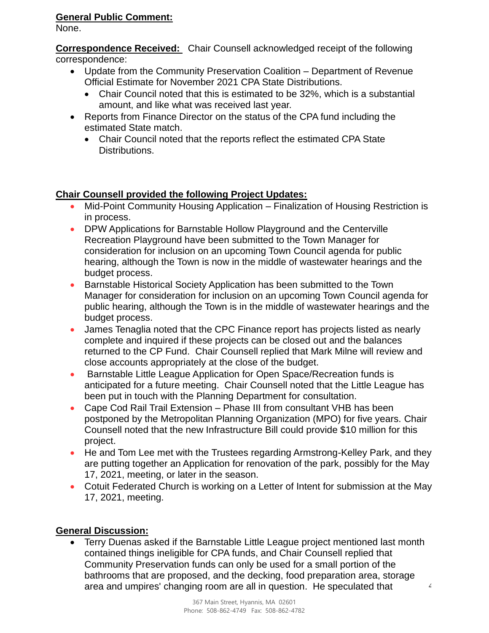### **General Public Comment:**

None.

**Correspondence Received:** Chair Counsell acknowledged receipt of the following correspondence:

- Update from the Community Preservation Coalition Department of Revenue Official Estimate for November 2021 CPA State Distributions.
	- Chair Council noted that this is estimated to be 32%, which is a substantial amount, and like what was received last year.
- Reports from Finance Director on the status of the CPA fund including the estimated State match.
	- Chair Council noted that the reports reflect the estimated CPA State Distributions.

# **Chair Counsell provided the following Project Updates:**

- Mid-Point Community Housing Application Finalization of Housing Restriction is in process.
- DPW Applications for Barnstable Hollow Playground and the Centerville Recreation Playground have been submitted to the Town Manager for consideration for inclusion on an upcoming Town Council agenda for public hearing, although the Town is now in the middle of wastewater hearings and the budget process.
- Barnstable Historical Society Application has been submitted to the Town Manager for consideration for inclusion on an upcoming Town Council agenda for public hearing, although the Town is in the middle of wastewater hearings and the budget process.
- James Tenaglia noted that the CPC Finance report has projects listed as nearly complete and inquired if these projects can be closed out and the balances returned to the CP Fund. Chair Counsell replied that Mark Milne will review and close accounts appropriately at the close of the budget.
- Barnstable Little League Application for Open Space/Recreation funds is anticipated for a future meeting. Chair Counsell noted that the Little League has been put in touch with the Planning Department for consultation.
- Cape Cod Rail Trail Extension Phase III from consultant VHB has been postponed by the Metropolitan Planning Organization (MPO) for five years. Chair Counsell noted that the new Infrastructure Bill could provide \$10 million for this project.
- He and Tom Lee met with the Trustees regarding Armstrong-Kelley Park, and they are putting together an Application for renovation of the park, possibly for the May 17, 2021, meeting, or later in the season.
- Cotuit Federated Church is working on a Letter of Intent for submission at the May 17, 2021, meeting.

# **General Discussion:**

• Terry Duenas asked if the Barnstable Little League project mentioned last month contained things ineligible for CPA funds, and Chair Counsell replied that Community Preservation funds can only be used for a small portion of the bathrooms that are proposed, and the decking, food preparation area, storage area and umpires' changing room are all in question. He speculated that